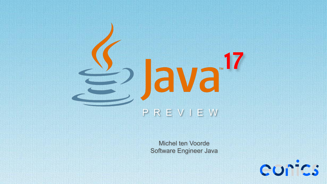# **17** P R E V I E W

Michel ten Voorde Software Engineer Java

curics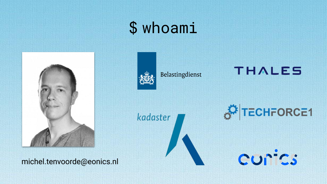# \$ whoami



michel.tenvoorde@eonics.nl



Belastingdienst

### **THALES**

kadaster

TECHFORCE1

curics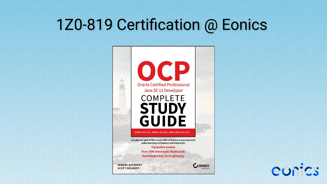# 1Z0-819 Certification @ Eonics



curics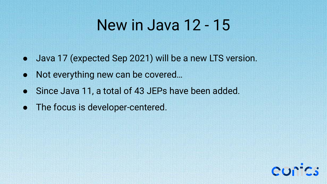### New in Java 12 - 15

- Java 17 (expected Sep 2021) will be a new LTS version.
- Not everything new can be covered...
- Since Java 11, a total of 43 JEPs have been added.
- The focus is developer-centered.

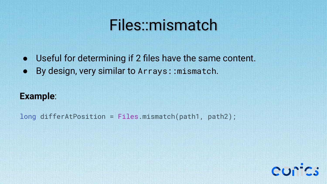### Files::mismatch

- Useful for determining if 2 files have the same content.
- By design, very similar to Arrays::mismatch.

### **Example**:

long differAtPosition = Files.mismatch(path1, path2);

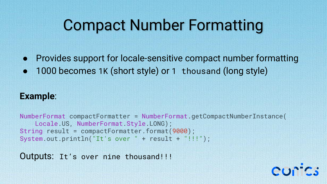# Compact Number Formatting

● Provides support for locale-sensitive compact number formatting

• 1000 becomes 1K (short style) or 1 thousand (long style)

### **Example**:

NumberFormat compactFormatter = NumberFormat.getCompactNumberInstance( Locale.US, NumberFormat.Style.LONG); String result = compactFormatter.format(9000); System.out.println("It's over " + result + "!!!");

Outputs: It's over nine thousand!!!

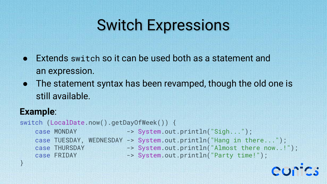# Switch Expressions

- Extends switch so it can be used both as a statement and an expression.
- The statement syntax has been revamped, though the old one is still available.

### **Example**:

switch (LocalDate.now().getDayOfWeek()) { case MONDAY -> System.out.println("Sigh..."); case FRIDAY -> System.out.println("Party time!"); }

 case TUESDAY, WEDNESDAY -> System.out.println("Hang in there..."); case THURSDAY -> System.out.println("Almost there now..!");

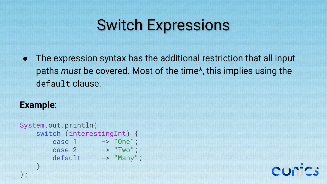# Switch Expressions

● The expression syntax has the additional restriction that all input paths *must* be covered. Most of the time\*, this implies using the default clause.

#### **Example**:

);

```
System.out.println(
    switch (interestingInt) {
       case 1 -> "One";
       case 2 -> "Two";
        default -> "Many";
    }
```
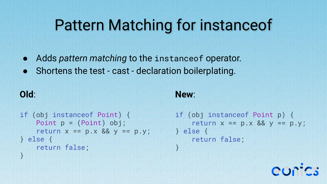# Pattern Matching for instanceof

- Adds *pattern matching* to the instanceof operator.
- Shortens the test cast declaration boilerplating.

### **Old**:

}

```
New:
```
}

```
if (obj instanceof Point) {
     Point p = (Point) obj;
    return x == p.x && y == p.y;
} else {
     return false;
```

```
if (obj instanceof Point p) {
    return x == p.x && y == p.y;
} else {
     return false;
```
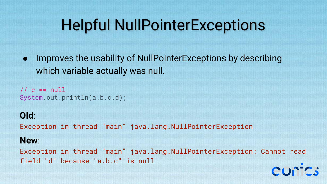# Helpful NullPointerExceptions

● Improves the usability of NullPointerExceptions by describing which variable actually was null.

//  $c == null$ System.out.println(a.b.c.d);

### **Old**:

Exception in thread "main" java.lang.NullPointerException

#### **New**:

Exception in thread "main" java.lang.NullPointerException: Cannot read field "d" because "a.b.c" is null

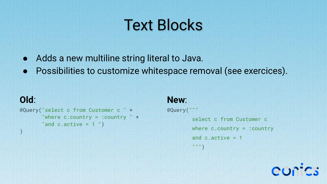# Text Blocks

- Adds a new multiline string literal to Java.
- Possibilities to customize whitespace removal (see exercices).

### **Old**:

 $\left( \right)$ 

```
@Query("select c from Customer c " +
       "where c.country = :country " +
       "and c \cdot active = 1")
```
#### **New**:

@Query("""

```
 select c from Customer c
 where c.country = :country
and c. active = 1
 """)
```
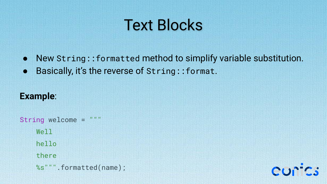# Text Blocks

- New String::formatted method to simplify variable substitution.
- Basically, it's the reverse of String:: format.

### **Example**:

String welcome = """ Well hello there %s""".formatted(name);

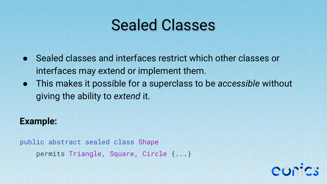### Sealed Classes

- Sealed classes and interfaces restrict which other classes or interfaces may extend or implement them.
- This makes it possible for a superclass to be *accessible* without giving the ability to *extend* it.

#### **Example:**

public abstract sealed class Shape permits Triangle, Square, Circle {...}

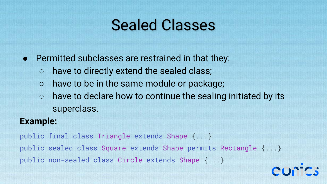# Sealed Classes

- Permitted subclasses are restrained in that they:
	- have to directly extend the sealed class;
	- have to be in the same module or package;
	- have to declare how to continue the sealing initiated by its superclass.

### **Example:**

public final class Triangle extends Shape {...} public sealed class Square extends Shape permits Rectangle {...} public non-sealed class Circle extends Shape {...}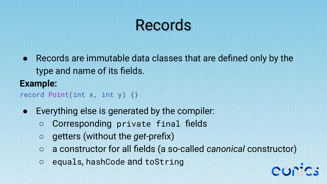# Records

● Records are immutable data classes that are defined only by the type and name of its fields.

**Example:** record Point(int x, int y)  $\{\}$ 

- Everything else is generated by the compiler:
	- Corresponding private final fields
	- getters (without the *get*-prefix)
	- a constructor for all fields (a so-called *canonical* constructor)
	- equals, hashCode and toString